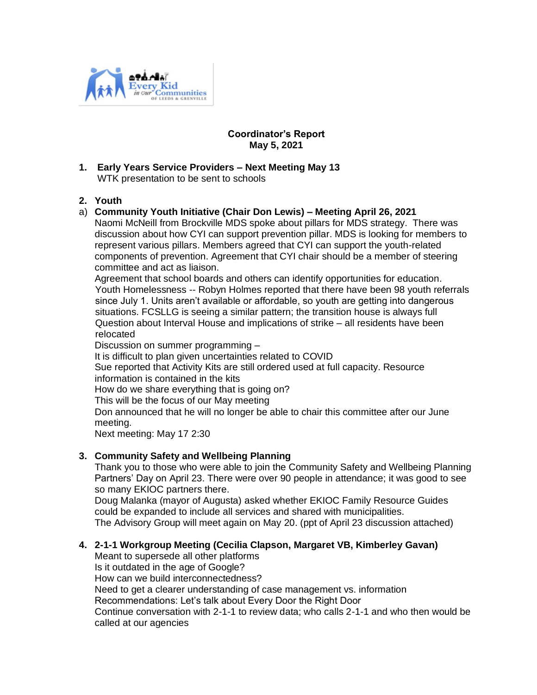

## **Coordinator's Report May 5, 2021**

**1. Early Years Service Providers – Next Meeting May 13** WTK presentation to be sent to schools

# **2. Youth**

# a) **Community Youth Initiative (Chair Don Lewis) – Meeting April 26, 2021**

Naomi McNeill from Brockville MDS spoke about pillars for MDS strategy. There was discussion about how CYI can support prevention pillar. MDS is looking for members to represent various pillars. Members agreed that CYI can support the youth-related components of prevention. Agreement that CYI chair should be a member of steering committee and act as liaison.

Agreement that school boards and others can identify opportunities for education. Youth Homelessness -- Robyn Holmes reported that there have been 98 youth referrals since July 1. Units aren't available or affordable, so youth are getting into dangerous situations. FCSLLG is seeing a similar pattern; the transition house is always full Question about Interval House and implications of strike – all residents have been relocated

Discussion on summer programming –

It is difficult to plan given uncertainties related to COVID

Sue reported that Activity Kits are still ordered used at full capacity. Resource information is contained in the kits

How do we share everything that is going on?

This will be the focus of our May meeting

Don announced that he will no longer be able to chair this committee after our June meeting.

Next meeting: May 17 2:30

# **3. Community Safety and Wellbeing Planning**

Thank you to those who were able to join the Community Safety and Wellbeing Planning Partners' Day on April 23. There were over 90 people in attendance; it was good to see so many EKIOC partners there.

Doug Malanka (mayor of Augusta) asked whether EKIOC Family Resource Guides could be expanded to include all services and shared with municipalities. The Advisory Group will meet again on May 20. (ppt of April 23 discussion attached)

# **4. 2-1-1 Workgroup Meeting (Cecilia Clapson, Margaret VB, Kimberley Gavan)**

Meant to supersede all other platforms Is it outdated in the age of Google? How can we build interconnectedness? Need to get a clearer understanding of case management vs. information Recommendations: Let's talk about Every Door the Right Door Continue conversation with 2-1-1 to review data; who calls 2-1-1 and who then would be called at our agencies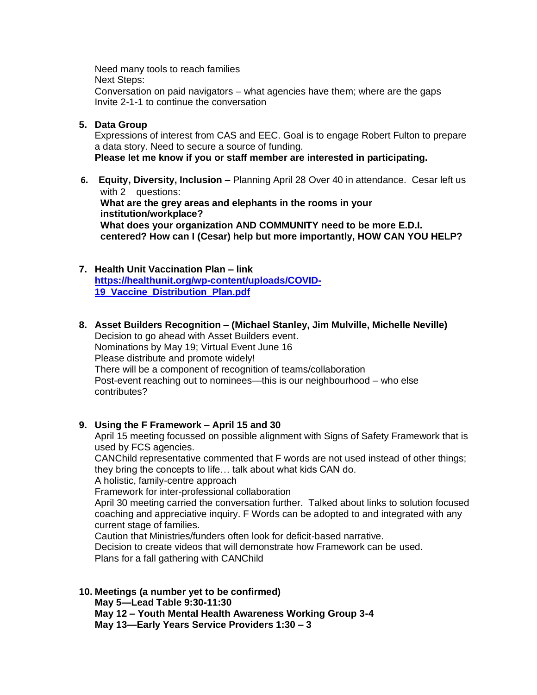Need many tools to reach families Next Steps: Conversation on paid navigators – what agencies have them; where are the gaps Invite 2-1-1 to continue the conversation

**5. Data Group**

Expressions of interest from CAS and EEC. Goal is to engage Robert Fulton to prepare a data story. Need to secure a source of funding. **Please let me know if you or staff member are interested in participating.**

- **6. Equity, Diversity, Inclusion** Planning April 28 Over 40 in attendance. Cesar left us with 2 questions: **What are the grey areas and elephants in the rooms in your institution/workplace? What does your organization AND COMMUNITY need to be more E.D.I. centered? How can I (Cesar) help but more importantly, HOW CAN YOU HELP?**
- **7. Health Unit Vaccination Plan – link [https://healthunit.org/wp-content/uploads/COVID-](https://healthunit.org/wp-content/uploads/COVID-19_Vaccine_Distribution_Plan.pdf)[19\\_Vaccine\\_Distribution\\_Plan.pdf](https://healthunit.org/wp-content/uploads/COVID-19_Vaccine_Distribution_Plan.pdf)**
- **8. Asset Builders Recognition – (Michael Stanley, Jim Mulville, Michelle Neville)** Decision to go ahead with Asset Builders event. Nominations by May 19; Virtual Event June 16 Please distribute and promote widely! There will be a component of recognition of teams/collaboration Post-event reaching out to nominees—this is our neighbourhood – who else contributes?
- **9. Using the F Framework – April 15 and 30**

April 15 meeting focussed on possible alignment with Signs of Safety Framework that is used by FCS agencies.

CANChild representative commented that F words are not used instead of other things; they bring the concepts to life… talk about what kids CAN do.

A holistic, family-centre approach

Framework for inter-professional collaboration

April 30 meeting carried the conversation further. Talked about links to solution focused coaching and appreciative inquiry. F Words can be adopted to and integrated with any current stage of families.

Caution that Ministries/funders often look for deficit-based narrative.

Decision to create videos that will demonstrate how Framework can be used. Plans for a fall gathering with CANChild

**10. Meetings (a number yet to be confirmed) May 5—Lead Table 9:30-11:30 May 12 – Youth Mental Health Awareness Working Group 3-4 May 13—Early Years Service Providers 1:30 – 3**